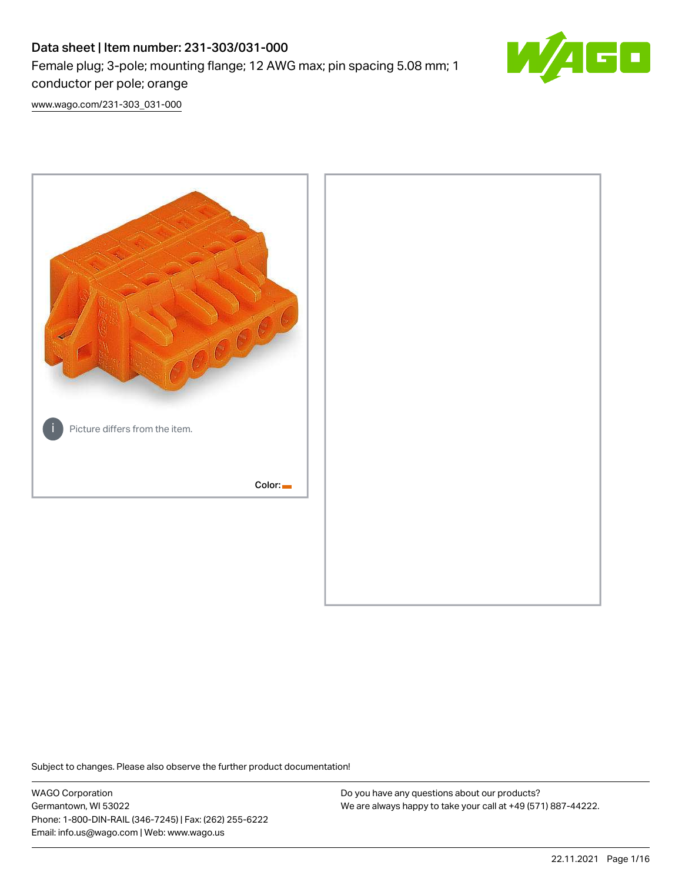# Data sheet | Item number: 231-303/031-000 Female plug; 3-pole; mounting flange; 12 AWG max; pin spacing 5.08 mm; 1 conductor per pole; orange



[www.wago.com/231-303\\_031-000](http://www.wago.com/231-303_031-000)



Subject to changes. Please also observe the further product documentation!

WAGO Corporation Germantown, WI 53022 Phone: 1-800-DIN-RAIL (346-7245) | Fax: (262) 255-6222 Email: info.us@wago.com | Web: www.wago.us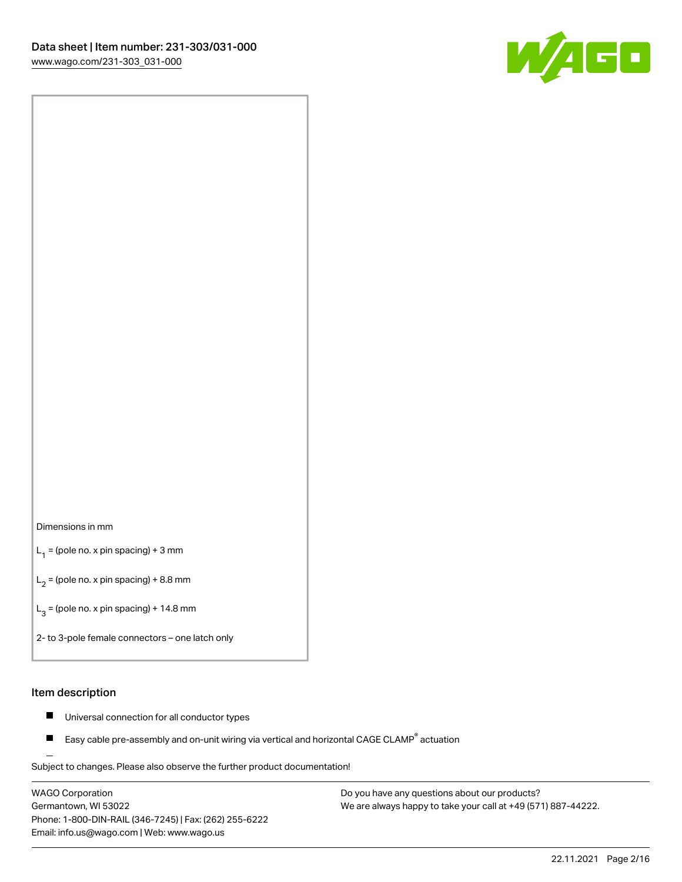

#### Dimensions in mm

 $L_1$  = (pole no. x pin spacing) + 3 mm

 $L_2$  = (pole no. x pin spacing) + 8.8 mm

 $L_3$  = (pole no. x pin spacing) + 14.8 mm

2- to 3-pole female connectors – one latch only

#### Item description

- Universal connection for all conductor types  $\blacksquare$
- Easy cable pre-assembly and on-unit wiring via vertical and horizontal CAGE CLAMP<sup>®</sup> actuation П

.<br>Subject to changes. Please also observe the further product documentation!

WAGO Corporation Germantown, WI 53022 Phone: 1-800-DIN-RAIL (346-7245) | Fax: (262) 255-6222 Email: info.us@wago.com | Web: www.wago.us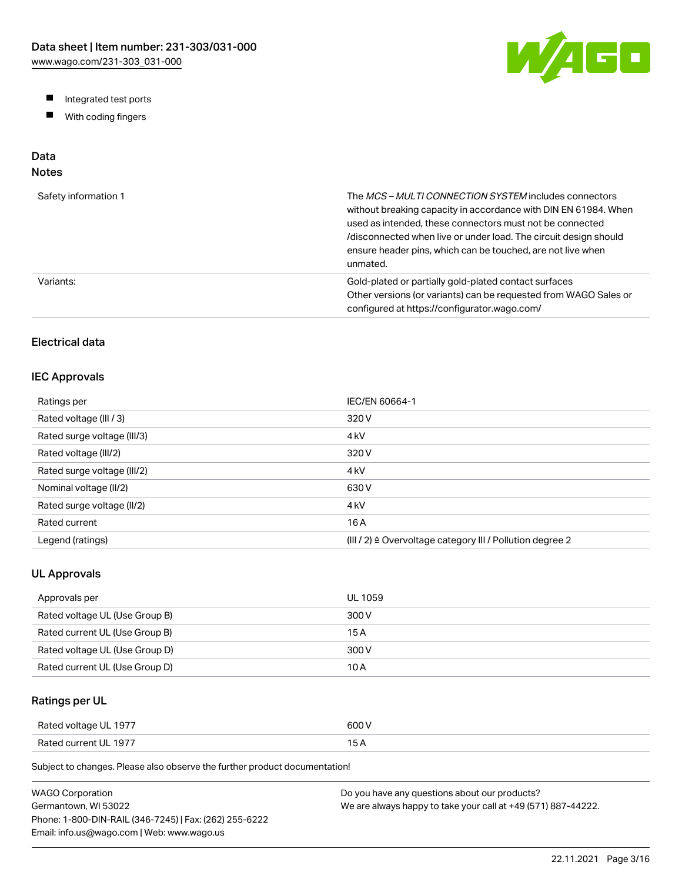W/AGO

- Integrated test ports
- $\blacksquare$ With coding fingers

## Data

## Notes

| Safety information 1 | The MCS-MULTI CONNECTION SYSTEM includes connectors<br>without breaking capacity in accordance with DIN EN 61984. When<br>used as intended, these connectors must not be connected<br>/disconnected when live or under load. The circuit design should<br>ensure header pins, which can be touched, are not live when<br>unmated. |
|----------------------|-----------------------------------------------------------------------------------------------------------------------------------------------------------------------------------------------------------------------------------------------------------------------------------------------------------------------------------|
| Variants:            | Gold-plated or partially gold-plated contact surfaces<br>Other versions (or variants) can be requested from WAGO Sales or<br>configured at https://configurator.wago.com/                                                                                                                                                         |

## Electrical data

#### IEC Approvals

| Ratings per                 | IEC/EN 60664-1                                                        |
|-----------------------------|-----------------------------------------------------------------------|
| Rated voltage (III / 3)     | 320 V                                                                 |
| Rated surge voltage (III/3) | 4 <sub>kV</sub>                                                       |
| Rated voltage (III/2)       | 320 V                                                                 |
| Rated surge voltage (III/2) | 4 <sub>kV</sub>                                                       |
| Nominal voltage (II/2)      | 630 V                                                                 |
| Rated surge voltage (II/2)  | 4 <sub>kV</sub>                                                       |
| Rated current               | 16 A                                                                  |
| Legend (ratings)            | $(III / 2)$ $\triangle$ Overvoltage category III / Pollution degree 2 |

#### UL Approvals

| Approvals per                  | <b>UL 1059</b> |
|--------------------------------|----------------|
| Rated voltage UL (Use Group B) | 300 V          |
| Rated current UL (Use Group B) | 15 A           |
| Rated voltage UL (Use Group D) | 300 V          |
| Rated current UL (Use Group D) | 10 A           |

## Ratings per UL

| Rated voltage UL 1977 | 600 V  |
|-----------------------|--------|
| Rated current UL 1977 | $\sim$ |

Subject to changes. Please also observe the further product documentation!

| WAGO Corporation                                       | Do you have any questions about our products?                 |
|--------------------------------------------------------|---------------------------------------------------------------|
| Germantown. WI 53022                                   | We are always happy to take your call at +49 (571) 887-44222. |
| Phone: 1-800-DIN-RAIL (346-7245)   Fax: (262) 255-6222 |                                                               |
| Email: info.us@wago.com   Web: www.wago.us             |                                                               |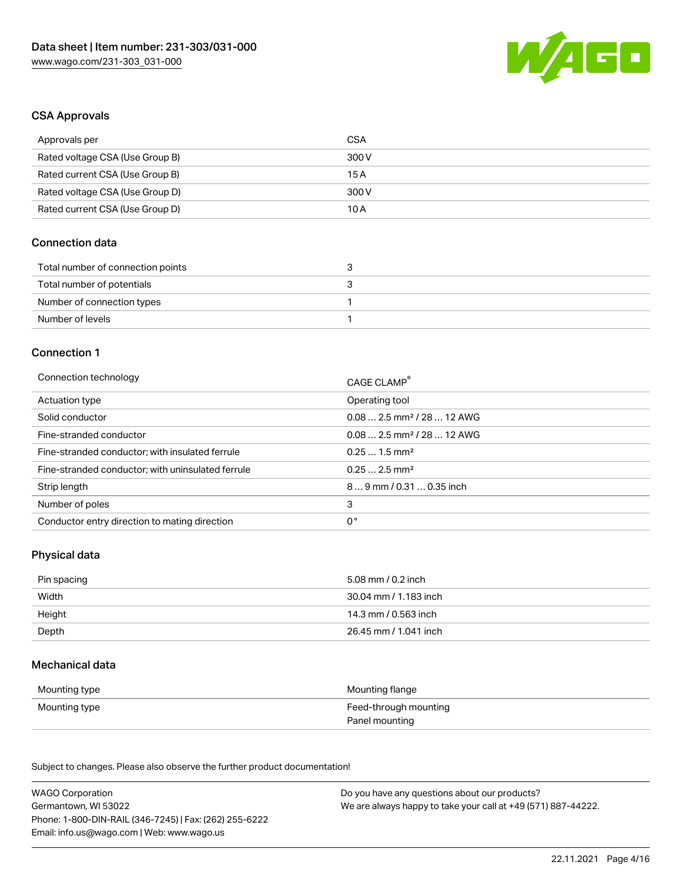

#### CSA Approvals

| Approvals per                   | CSA   |
|---------------------------------|-------|
| Rated voltage CSA (Use Group B) | 300 V |
| Rated current CSA (Use Group B) | 15 A  |
| Rated voltage CSA (Use Group D) | 300 V |
| Rated current CSA (Use Group D) | 10 A  |

### Connection data

| Total number of connection points |  |
|-----------------------------------|--|
| Total number of potentials        |  |
| Number of connection types        |  |
| Number of levels                  |  |

#### Connection 1

| Connection technology                             | CAGE CLAMP®                            |
|---------------------------------------------------|----------------------------------------|
| Actuation type                                    | Operating tool                         |
| Solid conductor                                   | $0.082.5$ mm <sup>2</sup> / 28  12 AWG |
| Fine-stranded conductor                           | $0.082.5$ mm <sup>2</sup> / 28  12 AWG |
| Fine-stranded conductor; with insulated ferrule   | $0.251.5$ mm <sup>2</sup>              |
| Fine-stranded conductor; with uninsulated ferrule | $0.252.5$ mm <sup>2</sup>              |
| Strip length                                      | $89$ mm / 0.31  0.35 inch              |
| Number of poles                                   | 3                                      |
| Conductor entry direction to mating direction     | 0°                                     |

#### Physical data

| Pin spacing | 5.08 mm / 0.2 inch    |
|-------------|-----------------------|
| Width       | 30.04 mm / 1.183 inch |
| Height      | 14.3 mm / 0.563 inch  |
| Depth       | 26.45 mm / 1.041 inch |

#### Mechanical data

| Mounting type | Mounting flange                         |
|---------------|-----------------------------------------|
| Mounting type | Feed-through mounting<br>Panel mounting |

Subject to changes. Please also observe the further product documentation!

| <b>WAGO Corporation</b>                                | Do you have any questions about our products?                 |
|--------------------------------------------------------|---------------------------------------------------------------|
| Germantown, WI 53022                                   | We are always happy to take your call at +49 (571) 887-44222. |
| Phone: 1-800-DIN-RAIL (346-7245)   Fax: (262) 255-6222 |                                                               |
| Email: info.us@wago.com   Web: www.wago.us             |                                                               |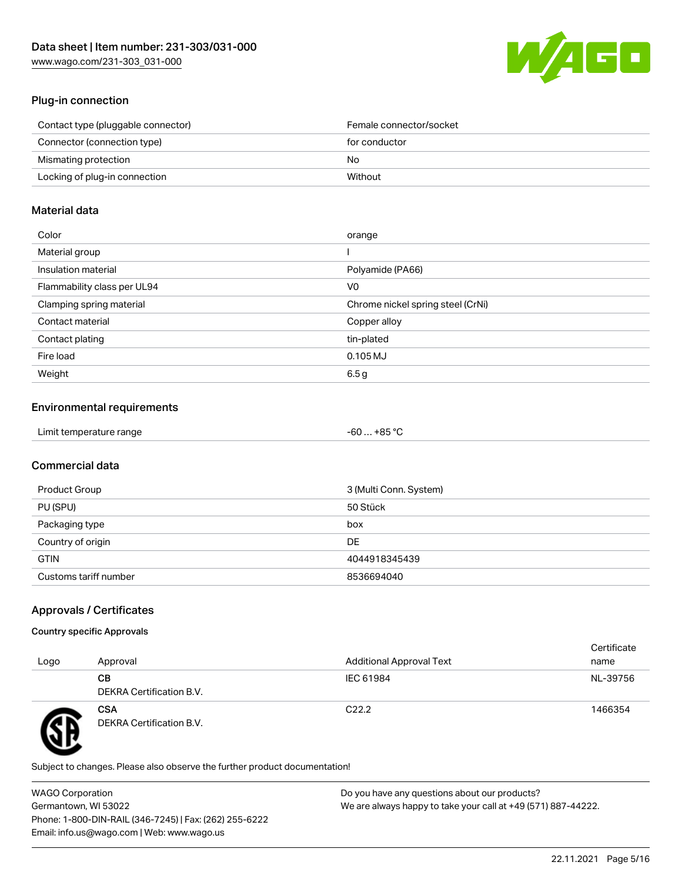

## Plug-in connection

| Contact type (pluggable connector) | Female connector/socket |
|------------------------------------|-------------------------|
| Connector (connection type)        | for conductor           |
| Mismating protection               | No.                     |
| Locking of plug-in connection      | Without                 |
|                                    |                         |

#### Material data

| Color                       | orange                            |
|-----------------------------|-----------------------------------|
| Material group              |                                   |
| Insulation material         | Polyamide (PA66)                  |
| Flammability class per UL94 | V0                                |
| Clamping spring material    | Chrome nickel spring steel (CrNi) |
| Contact material            | Copper alloy                      |
| Contact plating             | tin-plated                        |
| Fire load                   | $0.105$ MJ                        |
| Weight                      | 6.5 <sub>g</sub>                  |

#### Environmental requirements

| Limit temperature range<br>. | . +85 °Ր<br>-60 |  |
|------------------------------|-----------------|--|
|------------------------------|-----------------|--|

## Commercial data

| Product Group         | 3 (Multi Conn. System) |
|-----------------------|------------------------|
| PU (SPU)              | 50 Stück               |
| Packaging type        | box                    |
| Country of origin     | <b>DE</b>              |
| <b>GTIN</b>           | 4044918345439          |
| Customs tariff number | 8536694040             |

## Approvals / Certificates

#### Country specific Approvals

| Logo | Approval                               | <b>Additional Approval Text</b> | Certificate<br>name |
|------|----------------------------------------|---------------------------------|---------------------|
|      | CВ<br>DEKRA Certification B.V.         | IEC 61984                       | NL-39756            |
| T    | <b>CSA</b><br>DEKRA Certification B.V. | C <sub>22.2</sub>               | 1466354             |

Subject to changes. Please also observe the further product documentation!

WAGO Corporation Germantown, WI 53022 Phone: 1-800-DIN-RAIL (346-7245) | Fax: (262) 255-6222 Email: info.us@wago.com | Web: www.wago.us Do you have any questions about our products? We are always happy to take your call at +49 (571) 887-44222.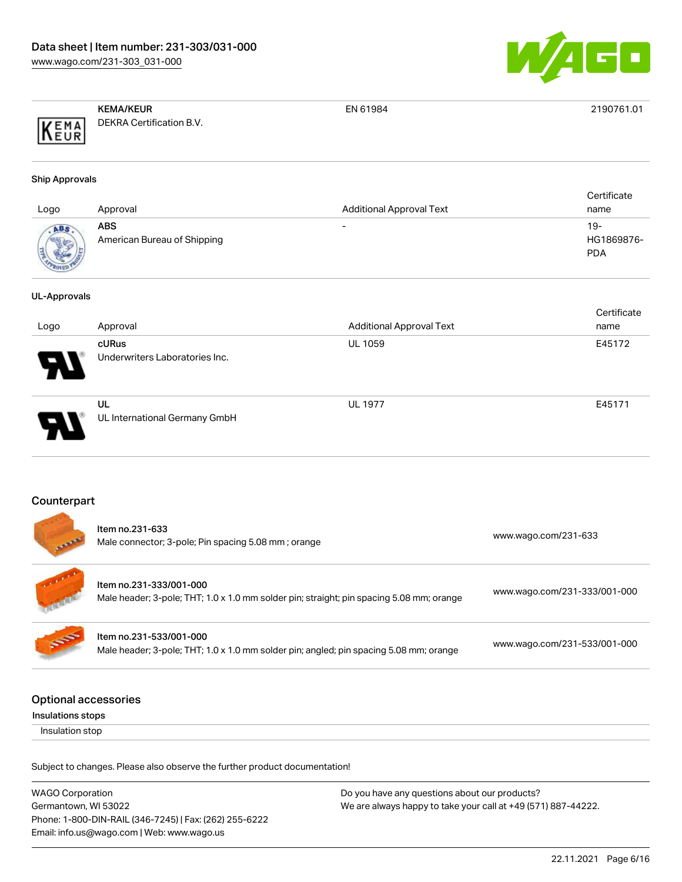

|      | <b>KEMA/KEUR</b>         | EN 61984 | 2190761.01 |
|------|--------------------------|----------|------------|
| KEMA | DEKRA Certification B.V. |          |            |

#### Ship Approvals

| Logo         | Approval                           | <b>Additional Approval Text</b> | Certificate<br>name               |
|--------------|------------------------------------|---------------------------------|-----------------------------------|
| <b>ROVED</b> | ABS<br>American Bureau of Shipping | $\overline{\phantom{0}}$        | $19-$<br>HG1869876-<br><b>PDA</b> |

#### UL-Approvals

|                            |                                         |                                 | Certificate |
|----------------------------|-----------------------------------------|---------------------------------|-------------|
| Logo                       | Approval                                | <b>Additional Approval Text</b> | name        |
| $\boldsymbol{\mathcal{A}}$ | cURus<br>Underwriters Laboratories Inc. | <b>UL 1059</b>                  | E45172      |
| D                          | UL<br>UL International Germany GmbH     | <b>UL 1977</b>                  | E45171      |

#### Counterpart

.

| فعمد         | Item no.231-633<br>Male connector; 3-pole; Pin spacing 5.08 mm; orange                                              | www.wago.com/231-633         |
|--------------|---------------------------------------------------------------------------------------------------------------------|------------------------------|
| $\mathbf{r}$ | Item no.231-333/001-000<br>Male header; 3-pole; THT; 1.0 x 1.0 mm solder pin; straight; pin spacing 5.08 mm; orange | www.wago.com/231-333/001-000 |
| S            | Item no.231-533/001-000<br>Male header; 3-pole; THT; 1.0 x 1.0 mm solder pin; angled; pin spacing 5.08 mm; orange   | www.wago.com/231-533/001-000 |
|              |                                                                                                                     |                              |

## Optional accessories

Insulations stops

Insulation stop

Subject to changes. Please also observe the further product documentation!

| <b>WAGO Corporation</b>                                | Do you have any questions about our products?                 |
|--------------------------------------------------------|---------------------------------------------------------------|
| Germantown, WI 53022                                   | We are always happy to take your call at +49 (571) 887-44222. |
| Phone: 1-800-DIN-RAIL (346-7245)   Fax: (262) 255-6222 |                                                               |
| Email: info.us@wago.com   Web: www.wago.us             |                                                               |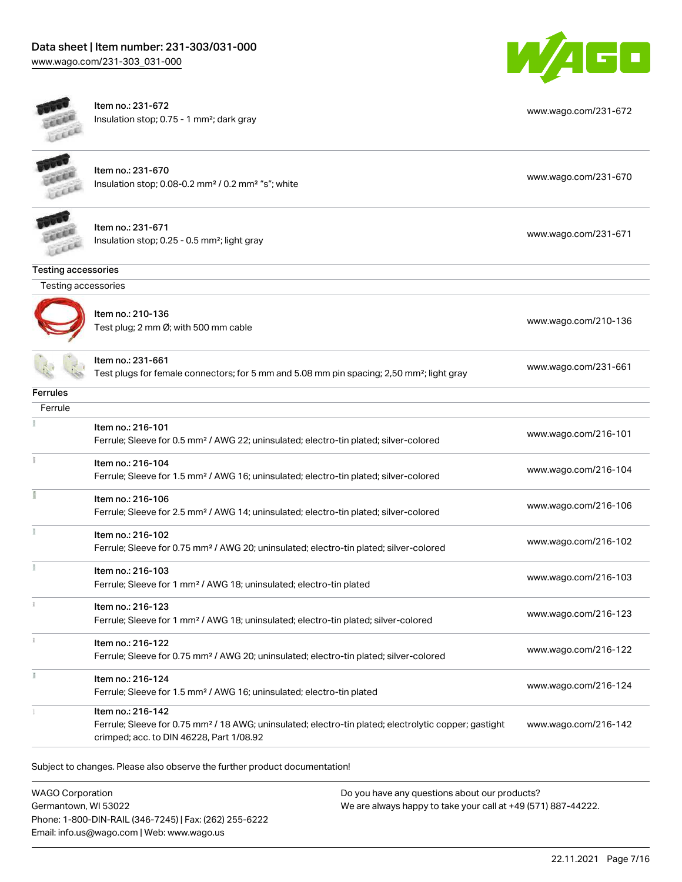$\overline{\phantom{a}}$ 



| cui                 | Item no.: 231-672<br>Insulation stop; 0.75 - 1 mm <sup>2</sup> ; dark gray                                                                                                         | www.wago.com/231-672 |
|---------------------|------------------------------------------------------------------------------------------------------------------------------------------------------------------------------------|----------------------|
|                     | Item no.: 231-670<br>Insulation stop; 0.08-0.2 mm <sup>2</sup> / 0.2 mm <sup>2</sup> "s"; white                                                                                    | www.wago.com/231-670 |
|                     | Item no.: 231-671<br>Insulation stop; 0.25 - 0.5 mm <sup>2</sup> ; light gray                                                                                                      | www.wago.com/231-671 |
| Testing accessories |                                                                                                                                                                                    |                      |
| Testing accessories |                                                                                                                                                                                    |                      |
|                     | Item no.: 210-136<br>Test plug; 2 mm Ø; with 500 mm cable                                                                                                                          | www.wago.com/210-136 |
|                     | Item no.: 231-661<br>Test plugs for female connectors; for 5 mm and 5.08 mm pin spacing; 2,50 mm <sup>2</sup> ; light gray                                                         | www.wago.com/231-661 |
| <b>Ferrules</b>     |                                                                                                                                                                                    |                      |
| Ferrule             |                                                                                                                                                                                    |                      |
|                     | Item no.: 216-101<br>Ferrule; Sleeve for 0.5 mm <sup>2</sup> / AWG 22; uninsulated; electro-tin plated; silver-colored                                                             | www.wago.com/216-101 |
|                     | Item no.: 216-104<br>Ferrule; Sleeve for 1.5 mm <sup>2</sup> / AWG 16; uninsulated; electro-tin plated; silver-colored                                                             | www.wago.com/216-104 |
|                     | Item no.: 216-106<br>Ferrule; Sleeve for 2.5 mm <sup>2</sup> / AWG 14; uninsulated; electro-tin plated; silver-colored                                                             | www.wago.com/216-106 |
|                     | Item no.: 216-102<br>Ferrule; Sleeve for 0.75 mm <sup>2</sup> / AWG 20; uninsulated; electro-tin plated; silver-colored                                                            | www.wago.com/216-102 |
|                     | Item no.: 216-103<br>Ferrule; Sleeve for 1 mm <sup>2</sup> / AWG 18; uninsulated; electro-tin plated                                                                               | www.wago.com/216-103 |
| 1                   | Item no.: 216-123<br>Ferrule; Sleeve for 1 mm <sup>2</sup> / AWG 18; uninsulated; electro-tin plated; silver-colored                                                               | www.wago.com/216-123 |
|                     | Item no.: 216-122<br>Ferrule; Sleeve for 0.75 mm <sup>2</sup> / AWG 20; uninsulated; electro-tin plated; silver-colored                                                            | www.wago.com/216-122 |
| I.                  | Item no.: 216-124<br>Ferrule; Sleeve for 1.5 mm <sup>2</sup> / AWG 16; uninsulated; electro-tin plated                                                                             | www.wago.com/216-124 |
|                     | Item no.: 216-142<br>Ferrule; Sleeve for 0.75 mm <sup>2</sup> / 18 AWG; uninsulated; electro-tin plated; electrolytic copper; gastight<br>crimped; acc. to DIN 46228, Part 1/08.92 | www.wago.com/216-142 |
|                     |                                                                                                                                                                                    |                      |

Subject to changes. Please also observe the further product documentation!

WAGO Corporation Germantown, WI 53022 Phone: 1-800-DIN-RAIL (346-7245) | Fax: (262) 255-6222 Email: info.us@wago.com | Web: www.wago.us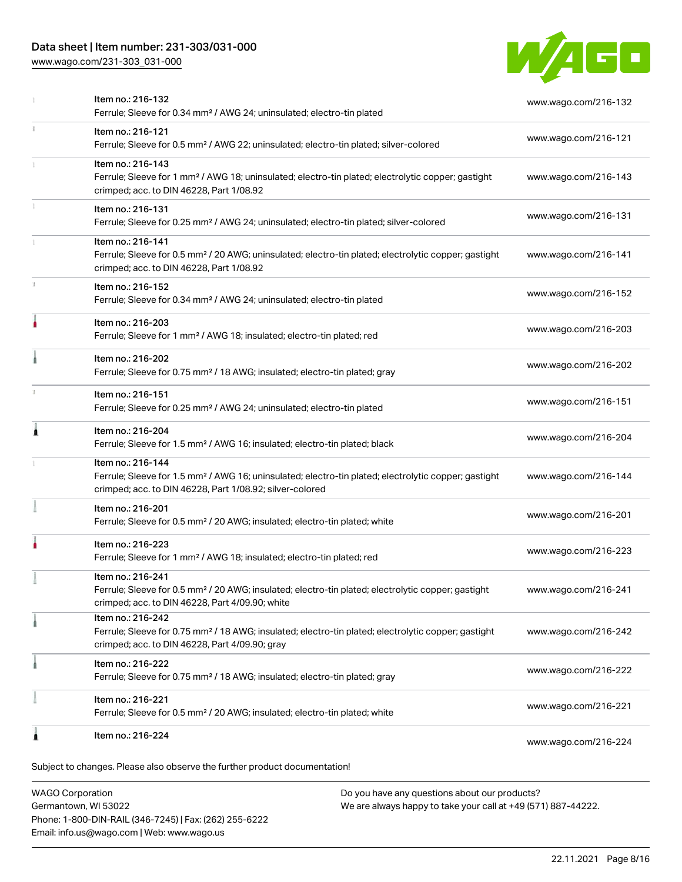## Data sheet | Item number: 231-303/031-000

[www.wago.com/231-303\\_031-000](http://www.wago.com/231-303_031-000)



|    | Item no.: 216-132<br>Ferrule; Sleeve for 0.34 mm <sup>2</sup> / AWG 24; uninsulated; electro-tin plated                                                                                           | www.wago.com/216-132 |
|----|---------------------------------------------------------------------------------------------------------------------------------------------------------------------------------------------------|----------------------|
| ī. | Item no.: 216-121<br>Ferrule; Sleeve for 0.5 mm <sup>2</sup> / AWG 22; uninsulated; electro-tin plated; silver-colored                                                                            | www.wago.com/216-121 |
|    | Item no.: 216-143<br>Ferrule; Sleeve for 1 mm <sup>2</sup> / AWG 18; uninsulated; electro-tin plated; electrolytic copper; gastight<br>crimped; acc. to DIN 46228, Part 1/08.92                   | www.wago.com/216-143 |
|    | Item no.: 216-131<br>Ferrule; Sleeve for 0.25 mm <sup>2</sup> / AWG 24; uninsulated; electro-tin plated; silver-colored                                                                           | www.wago.com/216-131 |
|    | Item no.: 216-141<br>Ferrule; Sleeve for 0.5 mm <sup>2</sup> / 20 AWG; uninsulated; electro-tin plated; electrolytic copper; gastight<br>crimped; acc. to DIN 46228, Part 1/08.92                 | www.wago.com/216-141 |
|    | Item no.: 216-152<br>Ferrule; Sleeve for 0.34 mm <sup>2</sup> / AWG 24; uninsulated; electro-tin plated                                                                                           | www.wago.com/216-152 |
| ۵  | Item no.: 216-203<br>Ferrule; Sleeve for 1 mm <sup>2</sup> / AWG 18; insulated; electro-tin plated; red                                                                                           | www.wago.com/216-203 |
|    | Item no.: 216-202<br>Ferrule; Sleeve for 0.75 mm <sup>2</sup> / 18 AWG; insulated; electro-tin plated; gray                                                                                       | www.wago.com/216-202 |
|    | Item no.: 216-151<br>Ferrule; Sleeve for 0.25 mm <sup>2</sup> / AWG 24; uninsulated; electro-tin plated                                                                                           | www.wago.com/216-151 |
| Â  | Item no.: 216-204<br>Ferrule; Sleeve for 1.5 mm <sup>2</sup> / AWG 16; insulated; electro-tin plated; black                                                                                       | www.wago.com/216-204 |
|    | Item no.: 216-144<br>Ferrule; Sleeve for 1.5 mm <sup>2</sup> / AWG 16; uninsulated; electro-tin plated; electrolytic copper; gastight<br>crimped; acc. to DIN 46228, Part 1/08.92; silver-colored | www.wago.com/216-144 |
|    | Item no.: 216-201<br>Ferrule; Sleeve for 0.5 mm <sup>2</sup> / 20 AWG; insulated; electro-tin plated; white                                                                                       | www.wago.com/216-201 |
|    | Item no.: 216-223<br>Ferrule; Sleeve for 1 mm <sup>2</sup> / AWG 18; insulated; electro-tin plated; red                                                                                           | www.wago.com/216-223 |
|    | Item no.: 216-241<br>Ferrule; Sleeve for 0.5 mm <sup>2</sup> / 20 AWG; insulated; electro-tin plated; electrolytic copper; gastight<br>crimped; acc. to DIN 46228, Part 4/09.90; white            | www.wago.com/216-241 |
|    | Item no.: 216-242<br>Ferrule; Sleeve for 0.75 mm <sup>2</sup> / 18 AWG; insulated; electro-tin plated; electrolytic copper; gastight<br>crimped; acc. to DIN 46228, Part 4/09.90; gray            | www.wago.com/216-242 |
|    | Item no.: 216-222<br>Ferrule; Sleeve for 0.75 mm <sup>2</sup> / 18 AWG; insulated; electro-tin plated; gray                                                                                       | www.wago.com/216-222 |
|    | Item no.: 216-221<br>Ferrule; Sleeve for 0.5 mm <sup>2</sup> / 20 AWG; insulated; electro-tin plated; white                                                                                       | www.wago.com/216-221 |
| 1  | Item no.: 216-224                                                                                                                                                                                 | www.wago.com/216-224 |

WAGO Corporation Germantown, WI 53022 Phone: 1-800-DIN-RAIL (346-7245) | Fax: (262) 255-6222 Email: info.us@wago.com | Web: www.wago.us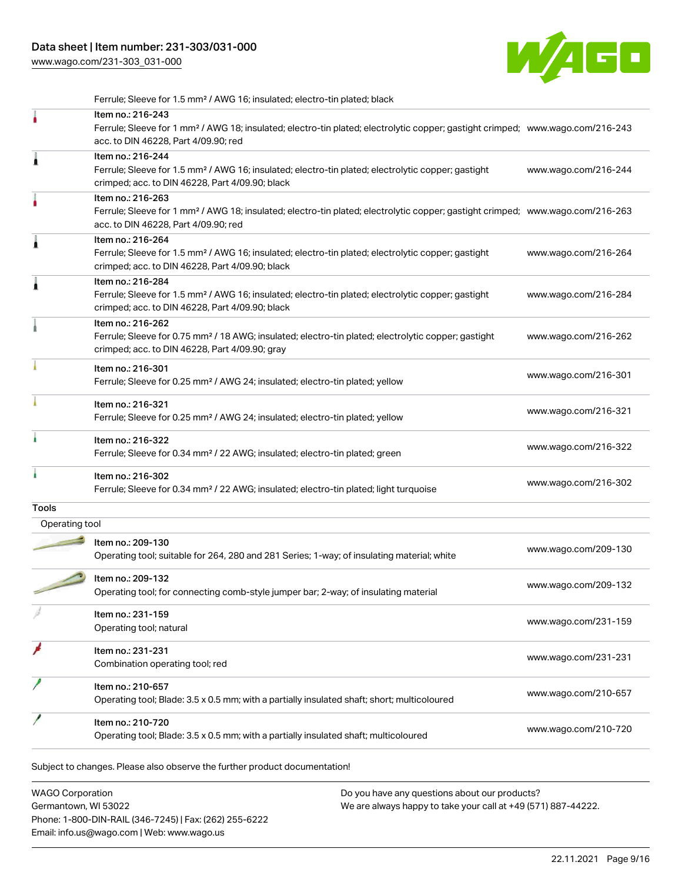[www.wago.com/231-303\\_031-000](http://www.wago.com/231-303_031-000)



Subject to changes. Please also observe the further product documentation! Ferrule; Sleeve for 1.5 mm² / AWG 16; insulated; electro-tin plated; black Item no.: 216-243 Ferrule; Sleeve for 1 mm² / AWG 18; insulated; electro-tin plated; electrolytic copper; gastight crimped; [www.wago.com/216-243](http://www.wago.com/216-243) acc. to DIN 46228, Part 4/09.90; red Item no.: 216-244 Ferrule; Sleeve for 1.5 mm² / AWG 16; insulated; electro-tin plated; electrolytic copper; gastight crimped; acc. to DIN 46228, Part 4/09.90; black [www.wago.com/216-244](http://www.wago.com/216-244) Item no.: 216-263 Ferrule; Sleeve for 1 mm² / AWG 18; insulated; electro-tin plated; electrolytic copper; gastight crimped; [www.wago.com/216-263](http://www.wago.com/216-263) acc. to DIN 46228, Part 4/09.90; red Item no.: 216-264 Ferrule; Sleeve for 1.5 mm² / AWG 16; insulated; electro-tin plated; electrolytic copper; gastight crimped; acc. to DIN 46228, Part 4/09.90; black [www.wago.com/216-264](http://www.wago.com/216-264) Item no.: 216-284 Ferrule; Sleeve for 1.5 mm² / AWG 16; insulated; electro-tin plated; electrolytic copper; gastight crimped; acc. to DIN 46228, Part 4/09.90; black [www.wago.com/216-284](http://www.wago.com/216-284) Item no.: 216-262 Ferrule; Sleeve for 0.75 mm² / 18 AWG; insulated; electro-tin plated; electrolytic copper; gastight crimped; acc. to DIN 46228, Part 4/09.90; gray [www.wago.com/216-262](http://www.wago.com/216-262) Item no.: 216-301 Ferrule; Sleeve for 0.25 mm² / AWG 24; insulated; electro-tin plated; yellow [www.wago.com/216-301](http://www.wago.com/216-301) Item no.: 216-321 Ferrule; Sleeve for 0.25 mm² / AWG 24; insulated; electro-tin plated; yellow [www.wago.com/216-321](http://www.wago.com/216-321) Item no.: 216-322 Ferrule; Sleeve for 0.34 mm² / 22 AWG; insulated; electro-tin plated; green [www.wago.com/216-322](http://www.wago.com/216-322) Item no.: 216-302 Ferrule; Sleeve for 0.34 mm² / 22 AWG; insulated; electro-tin plated; light turquoise [www.wago.com/216-302](http://www.wago.com/216-302) **Tools**  Operating tool Item no.: 209-130 Operating tool; suitable for 264, 280 and 281 Series; 1-way; of insulating material; white [www.wago.com/209-130](http://www.wago.com/209-130) Item no.: 209-132 Operating tool; for connecting comb-style jumper bar; 2-way; of insulating material [www.wago.com/209-132](http://www.wago.com/209-132) Item no.: 231-159 Operating tool; natural [www.wago.com/231-159](http://www.wago.com/231-159) Item no.: 231-231 Combination operating tool; red [www.wago.com/231-231](http://www.wago.com/231-231) Item no.: 210-657 Operating tool; Blade: 3.5 x 0.5 mm; with a partially insulated shaft; short; multicoloured [www.wago.com/210-657](http://www.wago.com/210-657) Item no.: 210-720 Nettrition: 210.720<br>Operating tool; Blade: 3.5 x 0.5 mm; with a partially insulated shaft; multicoloured [www.wago.com/210-720](http://www.wago.com/210-720)

WAGO Corporation Germantown, WI 53022 Phone: 1-800-DIN-RAIL (346-7245) | Fax: (262) 255-6222 Email: info.us@wago.com | Web: www.wago.us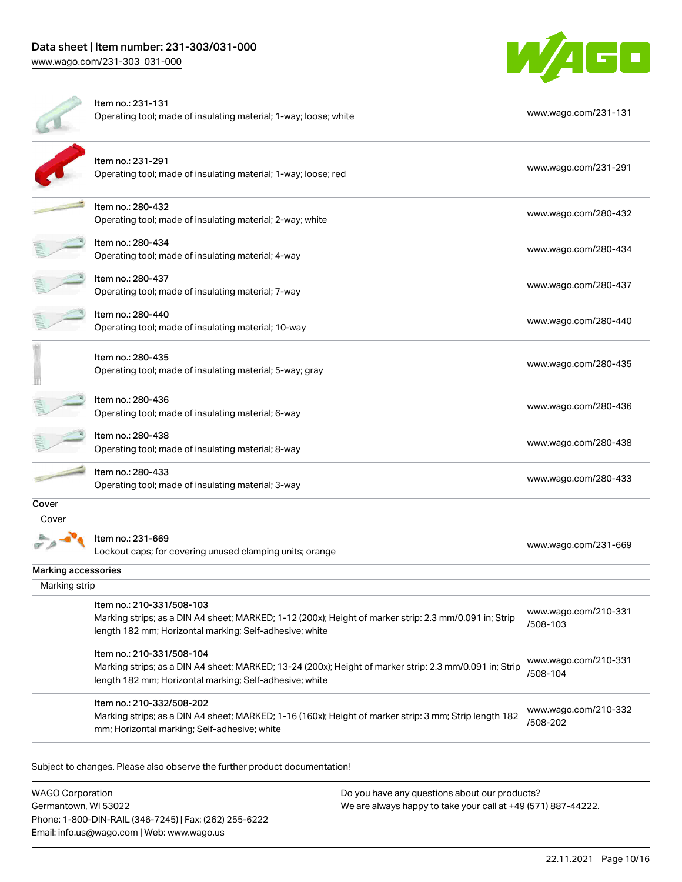

|                     | Item no.: 231-131<br>Operating tool; made of insulating material; 1-way; loose; white                                                                                                           | www.wago.com/231-131             |
|---------------------|-------------------------------------------------------------------------------------------------------------------------------------------------------------------------------------------------|----------------------------------|
|                     | Item no.: 231-291<br>Operating tool; made of insulating material; 1-way; loose; red                                                                                                             | www.wago.com/231-291             |
|                     | Item no.: 280-432<br>Operating tool; made of insulating material; 2-way; white                                                                                                                  | www.wago.com/280-432             |
|                     | Item no.: 280-434<br>Operating tool; made of insulating material; 4-way                                                                                                                         | www.wago.com/280-434             |
|                     | Item no.: 280-437<br>Operating tool; made of insulating material; 7-way                                                                                                                         | www.wago.com/280-437             |
|                     | Item no.: 280-440<br>Operating tool; made of insulating material; 10-way                                                                                                                        | www.wago.com/280-440             |
|                     | Item no.: 280-435<br>Operating tool; made of insulating material; 5-way; gray                                                                                                                   | www.wago.com/280-435             |
|                     | Item no.: 280-436<br>Operating tool; made of insulating material; 6-way                                                                                                                         | www.wago.com/280-436             |
|                     | Item no.: 280-438<br>Operating tool; made of insulating material; 8-way                                                                                                                         | www.wago.com/280-438             |
|                     | Item no.: 280-433<br>Operating tool; made of insulating material; 3-way                                                                                                                         | www.wago.com/280-433             |
| Cover               |                                                                                                                                                                                                 |                                  |
| Cover               | Item no.: 231-669<br>Lockout caps; for covering unused clamping units; orange                                                                                                                   | www.wago.com/231-669             |
| Marking accessories |                                                                                                                                                                                                 |                                  |
| Marking strip       |                                                                                                                                                                                                 |                                  |
|                     | Item no.: 210-331/508-103<br>Marking strips; as a DIN A4 sheet; MARKED; 1-12 (200x); Height of marker strip: 2.3 mm/0.091 in; Strip<br>length 182 mm; Horizontal marking; Self-adhesive; white  | www.wago.com/210-331<br>/508-103 |
|                     | Item no.: 210-331/508-104<br>Marking strips; as a DIN A4 sheet; MARKED; 13-24 (200x); Height of marker strip: 2.3 mm/0.091 in; Strip<br>length 182 mm; Horizontal marking; Self-adhesive; white | www.wago.com/210-331<br>/508-104 |
|                     | Item no.: 210-332/508-202<br>Marking strips; as a DIN A4 sheet; MARKED; 1-16 (160x); Height of marker strip: 3 mm; Strip length 182<br>mm; Horizontal marking; Self-adhesive; white             | www.wago.com/210-332<br>/508-202 |
|                     | Subject to changes. Please also observe the further product documentation!                                                                                                                      |                                  |

WAGO Corporation Germantown, WI 53022 Phone: 1-800-DIN-RAIL (346-7245) | Fax: (262) 255-6222 Email: info.us@wago.com | Web: www.wago.us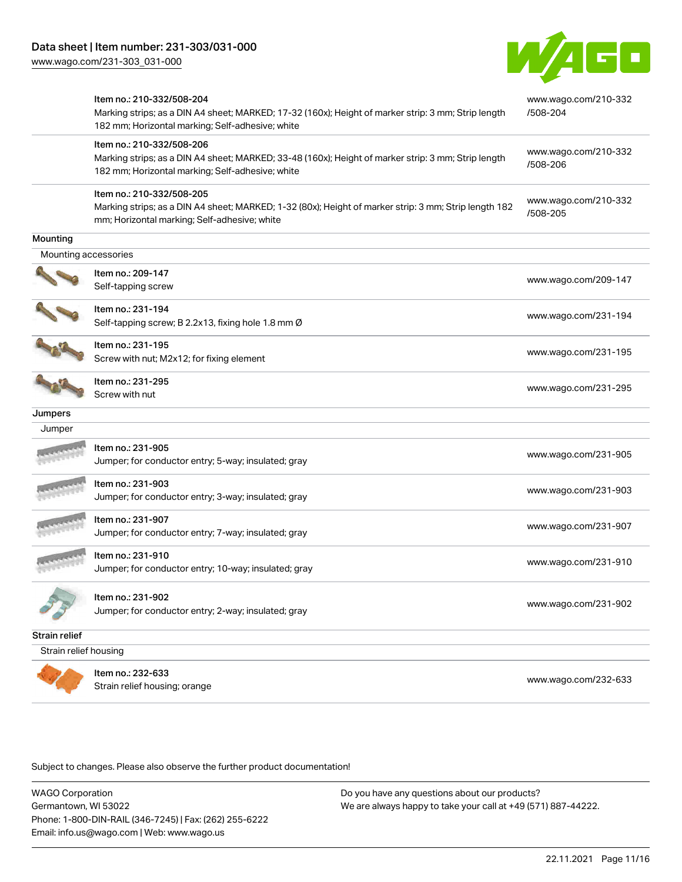

|                       | Item no.: 210-332/508-204<br>Marking strips; as a DIN A4 sheet; MARKED; 17-32 (160x); Height of marker strip: 3 mm; Strip length<br>182 mm; Horizontal marking; Self-adhesive; white | www.wago.com/210-332<br>/508-204 |
|-----------------------|--------------------------------------------------------------------------------------------------------------------------------------------------------------------------------------|----------------------------------|
|                       | Item no.: 210-332/508-206<br>Marking strips; as a DIN A4 sheet; MARKED; 33-48 (160x); Height of marker strip: 3 mm; Strip length<br>182 mm; Horizontal marking; Self-adhesive; white | www.wago.com/210-332<br>/508-206 |
|                       | Item no.: 210-332/508-205<br>Marking strips; as a DIN A4 sheet; MARKED; 1-32 (80x); Height of marker strip: 3 mm; Strip length 182<br>mm; Horizontal marking; Self-adhesive; white   | www.wago.com/210-332<br>/508-205 |
| Mounting              |                                                                                                                                                                                      |                                  |
| Mounting accessories  |                                                                                                                                                                                      |                                  |
|                       | Item no.: 209-147<br>Self-tapping screw                                                                                                                                              | www.wago.com/209-147             |
|                       | Item no.: 231-194<br>Self-tapping screw; B 2.2x13, fixing hole 1.8 mm Ø                                                                                                              | www.wago.com/231-194             |
|                       | Item no.: 231-195<br>Screw with nut; M2x12; for fixing element                                                                                                                       | www.wago.com/231-195             |
|                       | Item no.: 231-295<br>Screw with nut                                                                                                                                                  | www.wago.com/231-295             |
| Jumpers               |                                                                                                                                                                                      |                                  |
| Jumper                |                                                                                                                                                                                      |                                  |
|                       | Item no.: 231-905<br>Jumper; for conductor entry; 5-way; insulated; gray                                                                                                             | www.wago.com/231-905             |
|                       | Item no.: 231-903<br>Jumper; for conductor entry; 3-way; insulated; gray                                                                                                             | www.wago.com/231-903             |
|                       | Item no.: 231-907<br>Jumper; for conductor entry; 7-way; insulated; gray                                                                                                             | www.wago.com/231-907             |
|                       | Item no.: 231-910<br>Jumper; for conductor entry; 10-way; insulated; gray                                                                                                            | www.wago.com/231-910             |
|                       | Item no.: 231-902<br>Jumper; for conductor entry; 2-way; insulated; gray                                                                                                             | www.wago.com/231-902             |
| Strain relief         |                                                                                                                                                                                      |                                  |
| Strain relief housing |                                                                                                                                                                                      |                                  |
|                       | Item no.: 232-633<br>Strain relief housing; orange                                                                                                                                   | www.wago.com/232-633             |

Subject to changes. Please also observe the further product documentation!

WAGO Corporation Germantown, WI 53022 Phone: 1-800-DIN-RAIL (346-7245) | Fax: (262) 255-6222 Email: info.us@wago.com | Web: www.wago.us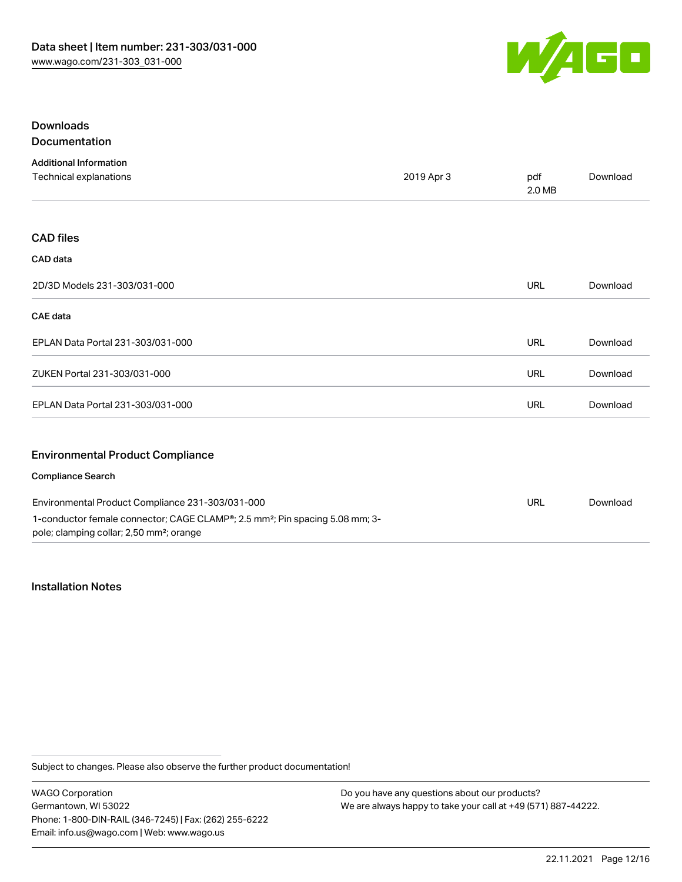

## Downloads Documentation

| <b>Additional Information</b>                                                                                                                    |            |               |          |
|--------------------------------------------------------------------------------------------------------------------------------------------------|------------|---------------|----------|
| Technical explanations                                                                                                                           | 2019 Apr 3 | pdf<br>2.0 MB | Download |
|                                                                                                                                                  |            |               |          |
| <b>CAD files</b>                                                                                                                                 |            |               |          |
| CAD data                                                                                                                                         |            |               |          |
| 2D/3D Models 231-303/031-000                                                                                                                     |            | <b>URL</b>    | Download |
| <b>CAE</b> data                                                                                                                                  |            |               |          |
| EPLAN Data Portal 231-303/031-000                                                                                                                |            | URL           | Download |
| ZUKEN Portal 231-303/031-000                                                                                                                     |            | URL           | Download |
| EPLAN Data Portal 231-303/031-000                                                                                                                |            | <b>URL</b>    | Download |
| <b>Environmental Product Compliance</b>                                                                                                          |            |               |          |
| <b>Compliance Search</b>                                                                                                                         |            |               |          |
| Environmental Product Compliance 231-303/031-000                                                                                                 |            | <b>URL</b>    | Download |
| 1-conductor female connector; CAGE CLAMP®; 2.5 mm <sup>2</sup> ; Pin spacing 5.08 mm; 3-<br>pole; clamping collar; 2,50 mm <sup>2</sup> ; orange |            |               |          |

## Installation Notes

Subject to changes. Please also observe the further product documentation!

WAGO Corporation Germantown, WI 53022 Phone: 1-800-DIN-RAIL (346-7245) | Fax: (262) 255-6222 Email: info.us@wago.com | Web: www.wago.us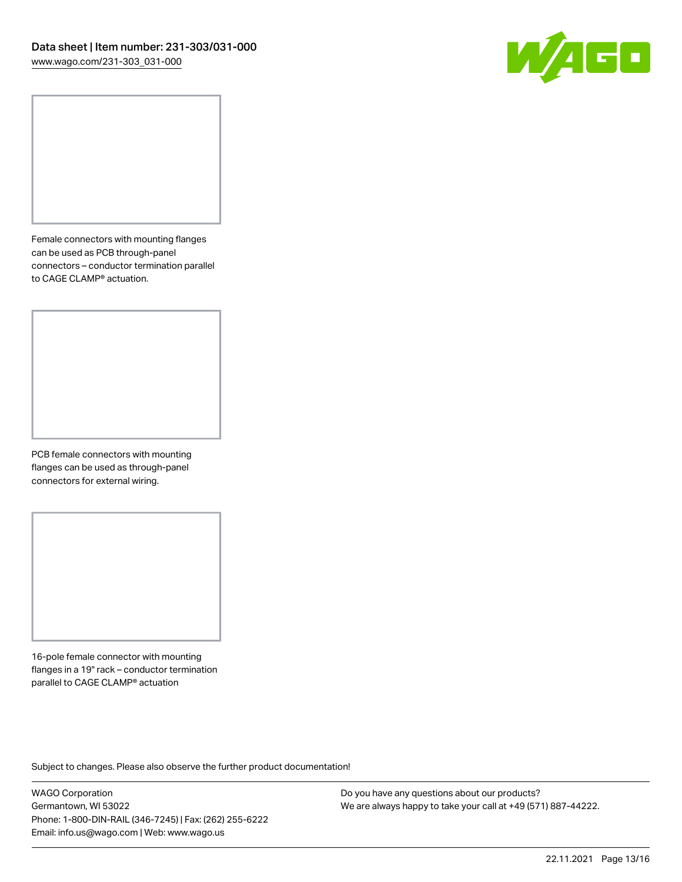

Female connectors with mounting flanges can be used as PCB through-panel connectors – conductor termination parallel to CAGE CLAMP® actuation.

PCB female connectors with mounting flanges can be used as through-panel connectors for external wiring.

16-pole female connector with mounting flanges in a 19" rack – conductor termination parallel to CAGE CLAMP® actuation

Subject to changes. Please also observe the further product documentation!

WAGO Corporation Germantown, WI 53022 Phone: 1-800-DIN-RAIL (346-7245) | Fax: (262) 255-6222 Email: info.us@wago.com | Web: www.wago.us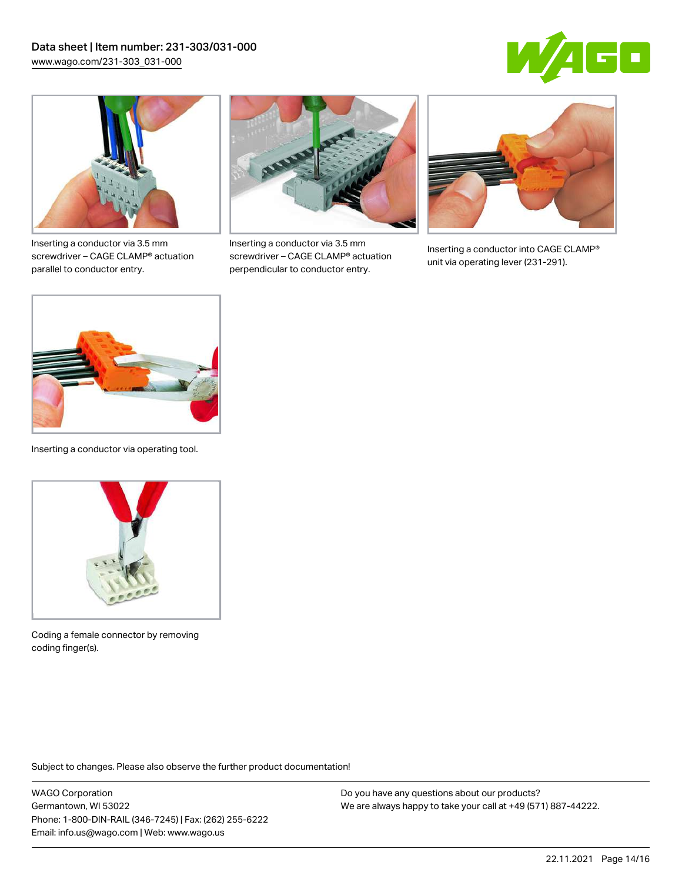



Inserting a conductor via 3.5 mm screwdriver – CAGE CLAMP® actuation parallel to conductor entry.



Inserting a conductor via 3.5 mm screwdriver – CAGE CLAMP® actuation perpendicular to conductor entry.



Inserting a conductor into CAGE CLAMP® unit via operating lever (231-291).



Inserting a conductor via operating tool.



Coding a female connector by removing coding finger(s).

Subject to changes. Please also observe the further product documentation!

WAGO Corporation Germantown, WI 53022 Phone: 1-800-DIN-RAIL (346-7245) | Fax: (262) 255-6222 Email: info.us@wago.com | Web: www.wago.us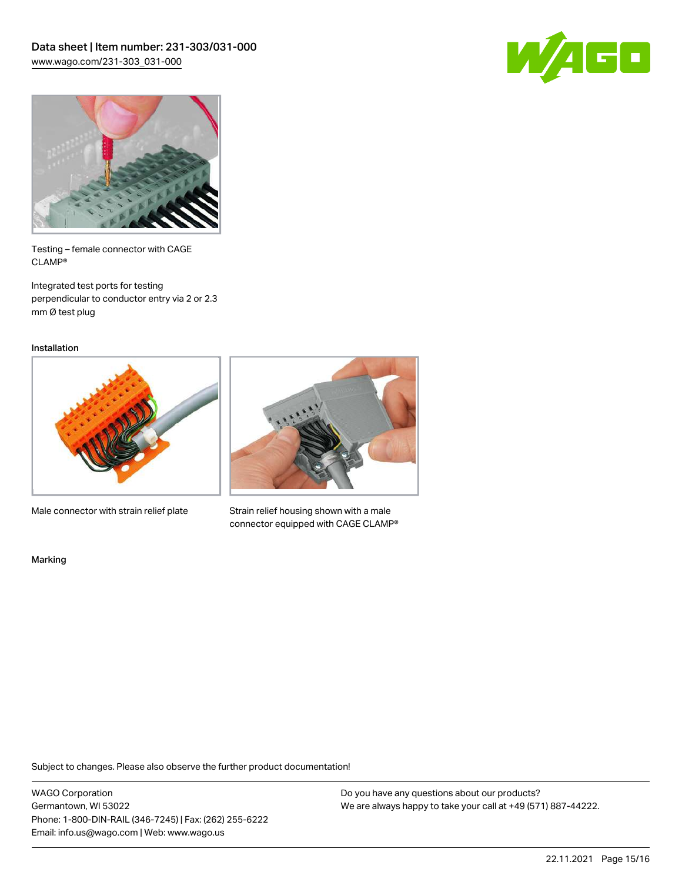



Testing – female connector with CAGE CLAMP®

Integrated test ports for testing perpendicular to conductor entry via 2 or 2.3 mm Ø test plug

Installation



Male connector with strain relief plate



Strain relief housing shown with a male connector equipped with CAGE CLAMP®

Marking

Subject to changes. Please also observe the further product documentation!

WAGO Corporation Germantown, WI 53022 Phone: 1-800-DIN-RAIL (346-7245) | Fax: (262) 255-6222 Email: info.us@wago.com | Web: www.wago.us